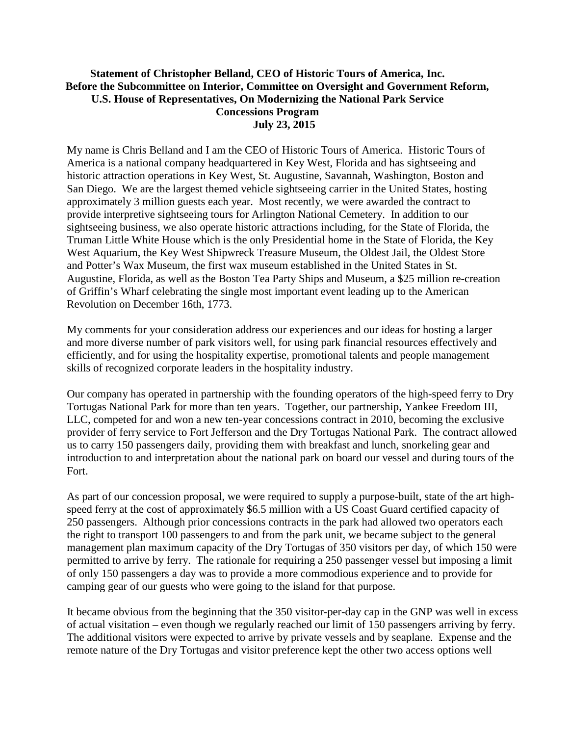## **Statement of Christopher Belland, CEO of Historic Tours of America, Inc. Before the Subcommittee on Interior, Committee on Oversight and Government Reform, U.S. House of Representatives, On Modernizing the National Park Service Concessions Program July 23, 2015**

My name is Chris Belland and I am the CEO of Historic Tours of America. Historic Tours of America is a national company headquartered in Key West, Florida and has sightseeing and historic attraction operations in Key West, St. Augustine, Savannah, Washington, Boston and San Diego. We are the largest themed vehicle sightseeing carrier in the United States, hosting approximately 3 million guests each year. Most recently, we were awarded the contract to provide interpretive sightseeing tours for Arlington National Cemetery. In addition to our sightseeing business, we also operate historic attractions including, for the State of Florida, the Truman Little White House which is the only Presidential home in the State of Florida, the Key West Aquarium, the Key West Shipwreck Treasure Museum, the Oldest Jail, the Oldest Store and Potter's Wax Museum, the first wax museum established in the United States in St. Augustine, Florida, as well as the Boston Tea Party Ships and Museum, a \$25 million re-creation of Griffin's Wharf celebrating the single most important event leading up to the American Revolution on December 16th, 1773.

My comments for your consideration address our experiences and our ideas for hosting a larger and more diverse number of park visitors well, for using park financial resources effectively and efficiently, and for using the hospitality expertise, promotional talents and people management skills of recognized corporate leaders in the hospitality industry.

Our company has operated in partnership with the founding operators of the high-speed ferry to Dry Tortugas National Park for more than ten years. Together, our partnership, Yankee Freedom III, LLC, competed for and won a new ten-year concessions contract in 2010, becoming the exclusive provider of ferry service to Fort Jefferson and the Dry Tortugas National Park. The contract allowed us to carry 150 passengers daily, providing them with breakfast and lunch, snorkeling gear and introduction to and interpretation about the national park on board our vessel and during tours of the Fort.

As part of our concession proposal, we were required to supply a purpose-built, state of the art highspeed ferry at the cost of approximately \$6.5 million with a US Coast Guard certified capacity of 250 passengers. Although prior concessions contracts in the park had allowed two operators each the right to transport 100 passengers to and from the park unit, we became subject to the general management plan maximum capacity of the Dry Tortugas of 350 visitors per day, of which 150 were permitted to arrive by ferry. The rationale for requiring a 250 passenger vessel but imposing a limit of only 150 passengers a day was to provide a more commodious experience and to provide for camping gear of our guests who were going to the island for that purpose.

It became obvious from the beginning that the 350 visitor-per-day cap in the GNP was well in excess of actual visitation – even though we regularly reached our limit of 150 passengers arriving by ferry. The additional visitors were expected to arrive by private vessels and by seaplane. Expense and the remote nature of the Dry Tortugas and visitor preference kept the other two access options well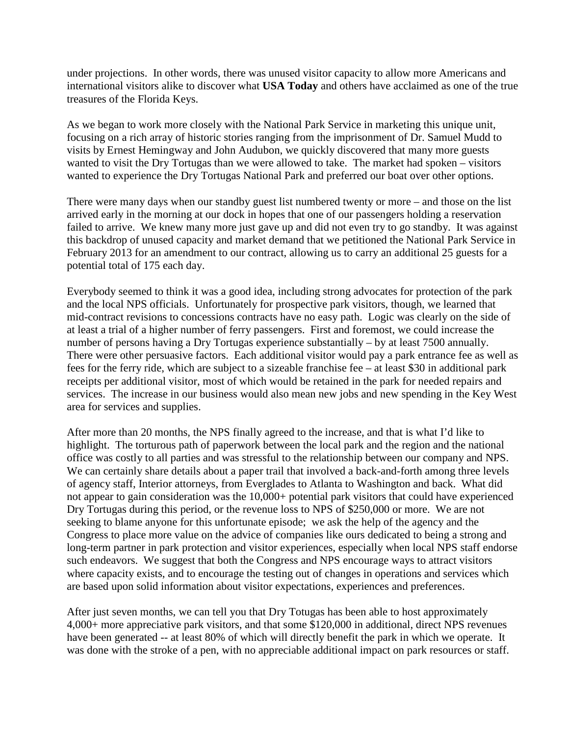under projections. In other words, there was unused visitor capacity to allow more Americans and international visitors alike to discover what **USA Today** and others have acclaimed as one of the true treasures of the Florida Keys.

As we began to work more closely with the National Park Service in marketing this unique unit, focusing on a rich array of historic stories ranging from the imprisonment of Dr. Samuel Mudd to visits by Ernest Hemingway and John Audubon, we quickly discovered that many more guests wanted to visit the Dry Tortugas than we were allowed to take. The market had spoken – visitors wanted to experience the Dry Tortugas National Park and preferred our boat over other options.

There were many days when our standby guest list numbered twenty or more – and those on the list arrived early in the morning at our dock in hopes that one of our passengers holding a reservation failed to arrive. We knew many more just gave up and did not even try to go standby. It was against this backdrop of unused capacity and market demand that we petitioned the National Park Service in February 2013 for an amendment to our contract, allowing us to carry an additional 25 guests for a potential total of 175 each day.

Everybody seemed to think it was a good idea, including strong advocates for protection of the park and the local NPS officials. Unfortunately for prospective park visitors, though, we learned that mid-contract revisions to concessions contracts have no easy path. Logic was clearly on the side of at least a trial of a higher number of ferry passengers. First and foremost, we could increase the number of persons having a Dry Tortugas experience substantially – by at least 7500 annually. There were other persuasive factors. Each additional visitor would pay a park entrance fee as well as fees for the ferry ride, which are subject to a sizeable franchise fee – at least \$30 in additional park receipts per additional visitor, most of which would be retained in the park for needed repairs and services. The increase in our business would also mean new jobs and new spending in the Key West area for services and supplies.

After more than 20 months, the NPS finally agreed to the increase, and that is what I'd like to highlight. The torturous path of paperwork between the local park and the region and the national office was costly to all parties and was stressful to the relationship between our company and NPS. We can certainly share details about a paper trail that involved a back-and-forth among three levels of agency staff, Interior attorneys, from Everglades to Atlanta to Washington and back. What did not appear to gain consideration was the 10,000+ potential park visitors that could have experienced Dry Tortugas during this period, or the revenue loss to NPS of \$250,000 or more. We are not seeking to blame anyone for this unfortunate episode; we ask the help of the agency and the Congress to place more value on the advice of companies like ours dedicated to being a strong and long-term partner in park protection and visitor experiences, especially when local NPS staff endorse such endeavors. We suggest that both the Congress and NPS encourage ways to attract visitors where capacity exists, and to encourage the testing out of changes in operations and services which are based upon solid information about visitor expectations, experiences and preferences.

After just seven months, we can tell you that Dry Totugas has been able to host approximately 4,000+ more appreciative park visitors, and that some \$120,000 in additional, direct NPS revenues have been generated -- at least 80% of which will directly benefit the park in which we operate. It was done with the stroke of a pen, with no appreciable additional impact on park resources or staff.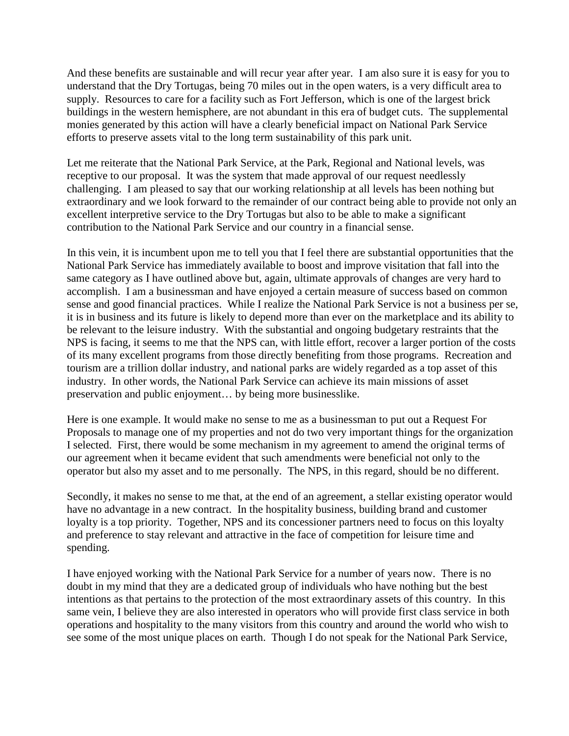And these benefits are sustainable and will recur year after year. I am also sure it is easy for you to understand that the Dry Tortugas, being 70 miles out in the open waters, is a very difficult area to supply. Resources to care for a facility such as Fort Jefferson, which is one of the largest brick buildings in the western hemisphere, are not abundant in this era of budget cuts. The supplemental monies generated by this action will have a clearly beneficial impact on National Park Service efforts to preserve assets vital to the long term sustainability of this park unit.

Let me reiterate that the National Park Service, at the Park, Regional and National levels, was receptive to our proposal. It was the system that made approval of our request needlessly challenging. I am pleased to say that our working relationship at all levels has been nothing but extraordinary and we look forward to the remainder of our contract being able to provide not only an excellent interpretive service to the Dry Tortugas but also to be able to make a significant contribution to the National Park Service and our country in a financial sense.

In this vein, it is incumbent upon me to tell you that I feel there are substantial opportunities that the National Park Service has immediately available to boost and improve visitation that fall into the same category as I have outlined above but, again, ultimate approvals of changes are very hard to accomplish. I am a businessman and have enjoyed a certain measure of success based on common sense and good financial practices. While I realize the National Park Service is not a business per se, it is in business and its future is likely to depend more than ever on the marketplace and its ability to be relevant to the leisure industry. With the substantial and ongoing budgetary restraints that the NPS is facing, it seems to me that the NPS can, with little effort, recover a larger portion of the costs of its many excellent programs from those directly benefiting from those programs. Recreation and tourism are a trillion dollar industry, and national parks are widely regarded as a top asset of this industry. In other words, the National Park Service can achieve its main missions of asset preservation and public enjoyment… by being more businesslike.

Here is one example. It would make no sense to me as a businessman to put out a Request For Proposals to manage one of my properties and not do two very important things for the organization I selected. First, there would be some mechanism in my agreement to amend the original terms of our agreement when it became evident that such amendments were beneficial not only to the operator but also my asset and to me personally. The NPS, in this regard, should be no different.

Secondly, it makes no sense to me that, at the end of an agreement, a stellar existing operator would have no advantage in a new contract. In the hospitality business, building brand and customer loyalty is a top priority. Together, NPS and its concessioner partners need to focus on this loyalty and preference to stay relevant and attractive in the face of competition for leisure time and spending.

I have enjoyed working with the National Park Service for a number of years now. There is no doubt in my mind that they are a dedicated group of individuals who have nothing but the best intentions as that pertains to the protection of the most extraordinary assets of this country. In this same vein, I believe they are also interested in operators who will provide first class service in both operations and hospitality to the many visitors from this country and around the world who wish to see some of the most unique places on earth. Though I do not speak for the National Park Service,